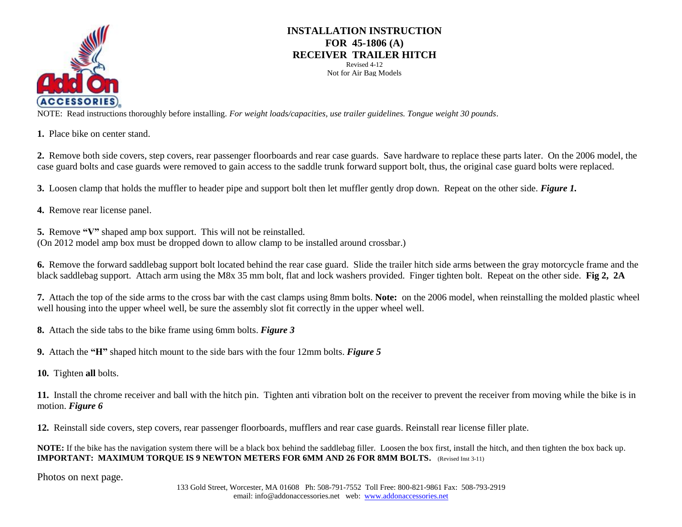

## **INSTALLATION INSTRUCTION FOR 45-1806 (A) RECEIVER TRAILER HITCH** Revised 4-12

Not for Air Bag Models

 NOTE: Read instructions thoroughly before installing. *For weight loads/capacities, use trailer guidelines. Tongue weight 30 pounds*.

**1.** Place bike on center stand.

**2.** Remove both side covers, step covers, rear passenger floorboards and rear case guards. Save hardware to replace these parts later. On the 2006 model, the case guard bolts and case guards were removed to gain access to the saddle trunk forward support bolt, thus, the original case guard bolts were replaced.

**3.** Loosen clamp that holds the muffler to header pipe and support bolt then let muffler gently drop down. Repeat on the other side. *Figure 1.*

**4.** Remove rear license panel.

**5.** Remove **"V"** shaped amp box support. This will not be reinstalled. (On 2012 model amp box must be dropped down to allow clamp to be installed around crossbar.)

**6.** Remove the forward saddlebag support bolt located behind the rear case guard. Slide the trailer hitch side arms between the gray motorcycle frame and the black saddlebag support. Attach arm using the M8x 35 mm bolt, flat and lock washers provided. Finger tighten bolt. Repeat on the other side. **Fig 2, 2A**

**7.** Attach the top of the side arms to the cross bar with the cast clamps using 8mm bolts. **Note:** on the 2006 model, when reinstalling the molded plastic wheel well housing into the upper wheel well, be sure the assembly slot fit correctly in the upper wheel well.

**8.** Attach the side tabs to the bike frame using 6mm bolts. *Figure 3*

**9.** Attach the **"H"** shaped hitch mount to the side bars with the four 12mm bolts. *Figure 5*

**10.** Tighten **all** bolts.

**11.** Install the chrome receiver and ball with the hitch pin. Tighten anti vibration bolt on the receiver to prevent the receiver from moving while the bike is in motion. *Figure 6*

**12.** Reinstall side covers, step covers, rear passenger floorboards, mufflers and rear case guards. Reinstall rear license filler plate.

**NOTE:** If the bike has the navigation system there will be a black box behind the saddlebag filler. Loosen the box first, install the hitch, and then tighten the box back up. **IMPORTANT: MAXIMUM TORQUE IS 9 NEWTON METERS FOR 6MM AND 26 FOR 8MM BOLTS.** (Revised Inst 3-11)

Photos on next page.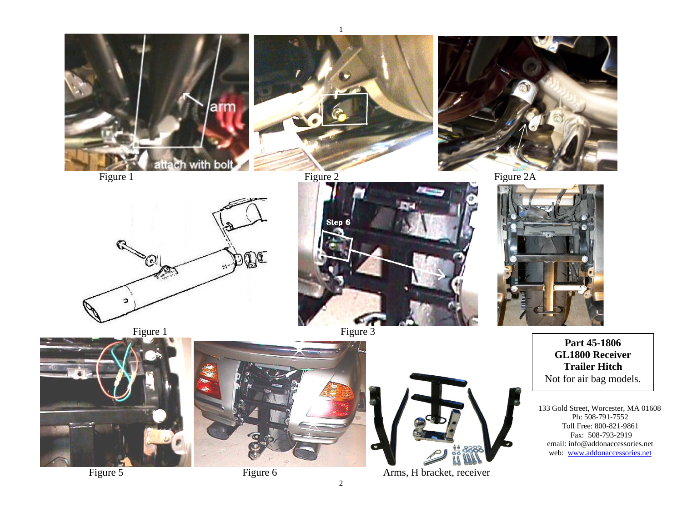

Figure 5 Figure 6 **Figure 6** Arms, H bracket, receiver